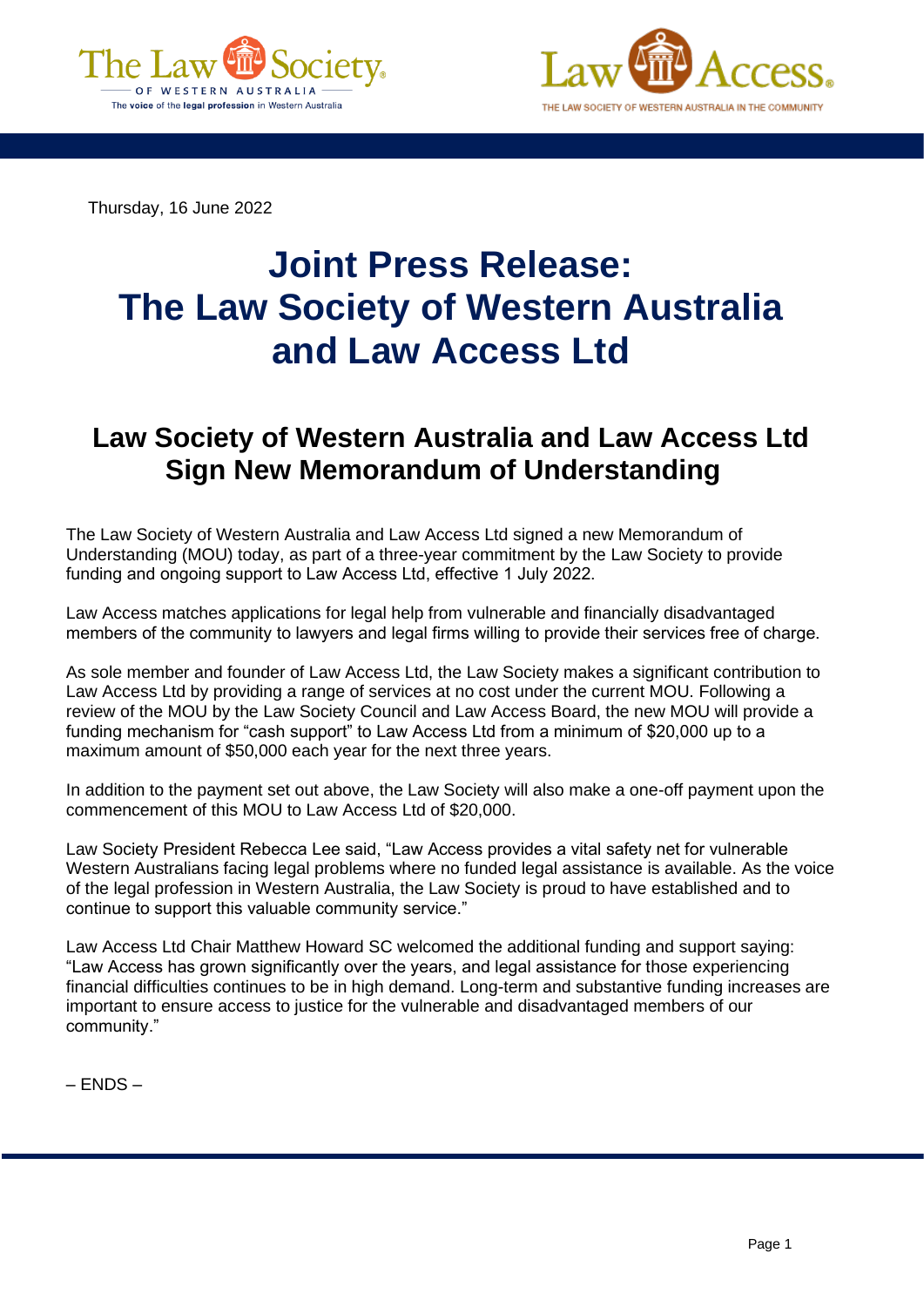



Thursday, 16 June 2022

## **Joint Press Release: The Law Society of Western Australia and Law Access Ltd**

## **Law Society of Western Australia and Law Access Ltd Sign New Memorandum of Understanding**

The Law Society of Western Australia and Law Access Ltd signed a new Memorandum of Understanding (MOU) today, as part of a three-year commitment by the Law Society to provide funding and ongoing support to Law Access Ltd, effective 1 July 2022.  

Law Access matches applications for legal help from vulnerable and financially disadvantaged members of the community to lawyers and legal firms willing to provide their services free of charge. 

As sole member and founder of Law Access Ltd, the Law Society makes a significant contribution to Law Access Ltd by providing a range of services at no cost under the current MOU. Following a review of the MOU by the Law Society Council and Law Access Board, the new MOU will provide a funding mechanism for "cash support" to Law Access Ltd from a minimum of \$20,000 up to a maximum amount of \$50,000 each year for the next three years.

In addition to the payment set out above, the Law Society will also make a one-off payment upon the commencement of this MOU to Law Access Ltd of \$20,000.

Law Society President Rebecca Lee said, "Law Access provides a vital safety net for vulnerable Western Australians facing legal problems where no funded legal assistance is available. As the voice of the legal profession in Western Australia, the Law Society is proud to have established and to continue to support this valuable community service."

Law Access Ltd Chair Matthew Howard SC welcomed the additional funding and support saying: "Law Access has grown significantly over the years, and legal assistance for those experiencing financial difficulties continues to be in high demand. Long-term and substantive funding increases are important to ensure access to justice for the vulnerable and disadvantaged members of our community."

– ENDS –